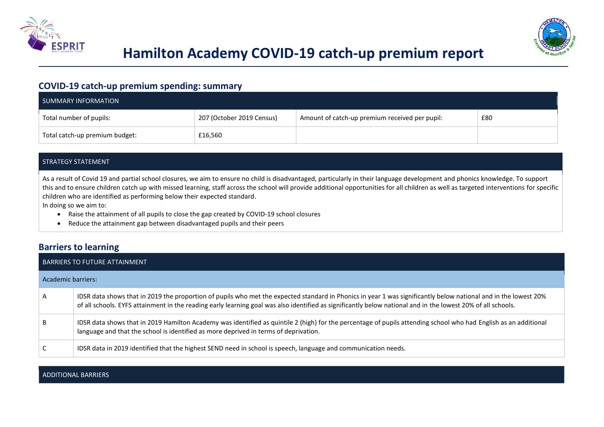



# **Hamilton Academy COVID-19 catch-up premium report**

## **COVID-19 catch-up premium spending: summary**

| SUMMARY INFORMATION            |                           |                                                |     |
|--------------------------------|---------------------------|------------------------------------------------|-----|
| Total number of pupils:        | 207 (October 2019 Census) | Amount of catch-up premium received per pupil: | £80 |
| Total catch-up premium budget: | £16,560                   |                                                |     |

#### STRATEGY STATEMENT

As a result of Covid 19 and partial school closures, we aim to ensure no child is disadvantaged, particularly in their language development and phonics knowledge. To support this and to ensure children catch up with missed learning, staff across the school will provide additional opportunities for all children as well as targeted interventions for specific children who are identified as performing below their expected standard.

In doing so we aim to:

- Raise the attainment of all pupils to close the gap created by COVID-19 school closures
- Reduce the attainment gap between disadvantaged pupils and their peers

### **Barriers to learning**

| BARRIERS TO FUTURE ATTAINMENT |                                                                                                                                                                                                                                                                                                                                 |  |  |
|-------------------------------|---------------------------------------------------------------------------------------------------------------------------------------------------------------------------------------------------------------------------------------------------------------------------------------------------------------------------------|--|--|
| Academic barriers:            |                                                                                                                                                                                                                                                                                                                                 |  |  |
| $\mathsf{A}$                  | IDSR data shows that in 2019 the proportion of pupils who met the expected standard in Phonics in year 1 was significantly below national and in the lowest 20%<br>of all schools. EYFS attainment in the reading early learning goal was also identified as significantly below national and in the lowest 20% of all schools. |  |  |
| B                             | IDSR data shows that in 2019 Hamilton Academy was identified as quintile 2 (high) for the percentage of pupils attending school who had English as an additional<br>language and that the school is identified as more deprived in terms of deprivation.                                                                        |  |  |
| C                             | IDSR data in 2019 identified that the highest SEND need in school is speech, language and communication needs.                                                                                                                                                                                                                  |  |  |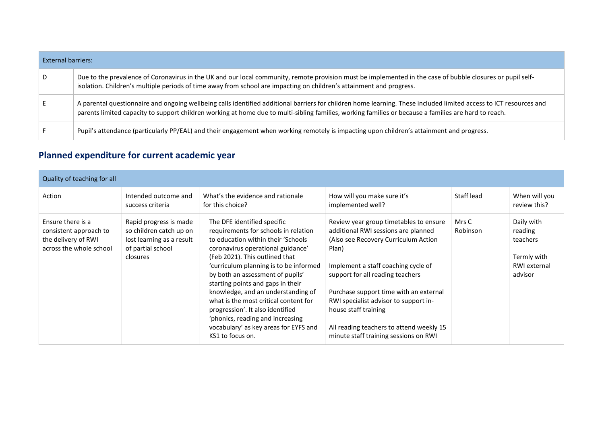| External barriers: |                                                                                                                                                                                                                                                                                                                             |
|--------------------|-----------------------------------------------------------------------------------------------------------------------------------------------------------------------------------------------------------------------------------------------------------------------------------------------------------------------------|
| D                  | Due to the prevalence of Coronavirus in the UK and our local community, remote provision must be implemented in the case of bubble closures or pupil self-<br>isolation. Children's multiple periods of time away from school are impacting on children's attainment and progress.                                          |
|                    | A parental questionnaire and ongoing wellbeing calls identified additional barriers for children home learning. These included limited access to ICT resources and<br>parents limited capacity to support children working at home due to multi-sibling families, working families or because a families are hard to reach. |
|                    | Pupil's attendance (particularly PP/EAL) and their engagement when working remotely is impacting upon children's attainment and progress.                                                                                                                                                                                   |

# **Planned expenditure for current academic year**

| Quality of teaching for all                                                                   |                                                                                                                 |                                                                                                                                                                                                                                                                                                                                                                                                                                                                                                                          |                                                                                                                                                                                                                                                                                                                                                                                                           |                   |                                                                             |
|-----------------------------------------------------------------------------------------------|-----------------------------------------------------------------------------------------------------------------|--------------------------------------------------------------------------------------------------------------------------------------------------------------------------------------------------------------------------------------------------------------------------------------------------------------------------------------------------------------------------------------------------------------------------------------------------------------------------------------------------------------------------|-----------------------------------------------------------------------------------------------------------------------------------------------------------------------------------------------------------------------------------------------------------------------------------------------------------------------------------------------------------------------------------------------------------|-------------------|-----------------------------------------------------------------------------|
| Action                                                                                        | Intended outcome and<br>success criteria                                                                        | What's the evidence and rationale<br>for this choice?                                                                                                                                                                                                                                                                                                                                                                                                                                                                    | How will you make sure it's<br>implemented well?                                                                                                                                                                                                                                                                                                                                                          | Staff lead        | When will you<br>review this?                                               |
| Ensure there is a<br>consistent approach to<br>the delivery of RWI<br>across the whole school | Rapid progress is made<br>so children catch up on<br>lost learning as a result<br>of partial school<br>closures | The DFE identified specific<br>requirements for schools in relation<br>to education within their 'Schools'<br>coronavirus operational guidance'<br>(Feb 2021). This outlined that<br>'curriculum planning is to be informed<br>by both an assessment of pupils'<br>starting points and gaps in their<br>knowledge, and an understanding of<br>what is the most critical content for<br>progression'. It also identified<br>'phonics, reading and increasing<br>vocabulary' as key areas for EYFS and<br>KS1 to focus on. | Review year group timetables to ensure<br>additional RWI sessions are planned<br>(Also see Recovery Curriculum Action<br>Plan)<br>Implement a staff coaching cycle of<br>support for all reading teachers<br>Purchase support time with an external<br>RWI specialist advisor to support in-<br>house staff training<br>All reading teachers to attend weekly 15<br>minute staff training sessions on RWI | Mrs C<br>Robinson | Daily with<br>reading<br>teachers<br>Termly with<br>RWI external<br>advisor |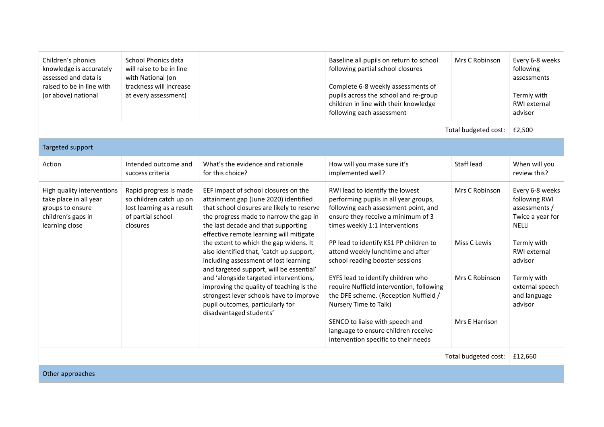| Children's phonics<br>knowledge is accurately<br>assessed and data is<br>raised to be in line with<br>(or above) national | School Phonics data<br>will raise to be in line<br>with National (on<br>trackness will increase<br>at every assessment) |                                                                                                                                                                                                                                                                                                                                                                                                                                                                                                                                                                                                                                    | Baseline all pupils on return to school<br>following partial school closures<br>Complete 6-8 weekly assessments of<br>pupils across the school and re-group<br>children in line with their knowledge<br>following each assessment                                                                                                                                                                                                                                                                                                                                                | Mrs C Robinson                                                     | Every 6-8 weeks<br>following<br>assessments<br>Termly with<br>RWI external<br>advisor                                                                                                        |
|---------------------------------------------------------------------------------------------------------------------------|-------------------------------------------------------------------------------------------------------------------------|------------------------------------------------------------------------------------------------------------------------------------------------------------------------------------------------------------------------------------------------------------------------------------------------------------------------------------------------------------------------------------------------------------------------------------------------------------------------------------------------------------------------------------------------------------------------------------------------------------------------------------|----------------------------------------------------------------------------------------------------------------------------------------------------------------------------------------------------------------------------------------------------------------------------------------------------------------------------------------------------------------------------------------------------------------------------------------------------------------------------------------------------------------------------------------------------------------------------------|--------------------------------------------------------------------|----------------------------------------------------------------------------------------------------------------------------------------------------------------------------------------------|
|                                                                                                                           |                                                                                                                         |                                                                                                                                                                                                                                                                                                                                                                                                                                                                                                                                                                                                                                    |                                                                                                                                                                                                                                                                                                                                                                                                                                                                                                                                                                                  | Total budgeted cost:                                               | £2,500                                                                                                                                                                                       |
| Targeted support                                                                                                          |                                                                                                                         |                                                                                                                                                                                                                                                                                                                                                                                                                                                                                                                                                                                                                                    |                                                                                                                                                                                                                                                                                                                                                                                                                                                                                                                                                                                  |                                                                    |                                                                                                                                                                                              |
| Action                                                                                                                    | Intended outcome and<br>success criteria                                                                                | What's the evidence and rationale<br>for this choice?                                                                                                                                                                                                                                                                                                                                                                                                                                                                                                                                                                              | How will you make sure it's<br>implemented well?                                                                                                                                                                                                                                                                                                                                                                                                                                                                                                                                 | <b>Staff lead</b>                                                  | When will you<br>review this?                                                                                                                                                                |
| High quality interventions<br>take place in all year<br>groups to ensure<br>children's gaps in<br>learning close          | Rapid progress is made<br>so children catch up on<br>lost learning as a result<br>of partial school<br>closures         | EEF impact of school closures on the<br>attainment gap (June 2020) identified<br>that school closures are likely to reserve<br>the progress made to narrow the gap in<br>the last decade and that supporting<br>effective remote learning will mitigate<br>the extent to which the gap widens. It<br>also identified that, 'catch up support,<br>including assessment of lost learning<br>and targeted support, will be essential'<br>and 'alongside targeted interventions,<br>improving the quality of teaching is the<br>strongest lever schools have to improve<br>pupil outcomes, particularly for<br>disadvantaged students' | RWI lead to identify the lowest<br>performing pupils in all year groups,<br>following each assessment point, and<br>ensure they receive a minimum of 3<br>times weekly 1:1 interventions<br>PP lead to identify KS1 PP children to<br>attend weekly lunchtime and after<br>school reading booster sessions<br>EYFS lead to identify children who<br>require Nuffield intervention, following<br>the DFE scheme. (Reception Nuffield /<br>Nursery Time to Talk)<br>SENCO to liaise with speech and<br>language to ensure children receive<br>intervention specific to their needs | Mrs C Robinson<br>Miss C Lewis<br>Mrs C Robinson<br>Mrs E Harrison | Every 6-8 weeks<br>following RWI<br>assessments /<br>Twice a year for<br><b>NELLI</b><br>Termly with<br>RWI external<br>advisor<br>Termly with<br>external speech<br>and language<br>advisor |
| Total budgeted cost:                                                                                                      |                                                                                                                         |                                                                                                                                                                                                                                                                                                                                                                                                                                                                                                                                                                                                                                    |                                                                                                                                                                                                                                                                                                                                                                                                                                                                                                                                                                                  | £12,660                                                            |                                                                                                                                                                                              |
| Other approaches                                                                                                          |                                                                                                                         |                                                                                                                                                                                                                                                                                                                                                                                                                                                                                                                                                                                                                                    |                                                                                                                                                                                                                                                                                                                                                                                                                                                                                                                                                                                  |                                                                    |                                                                                                                                                                                              |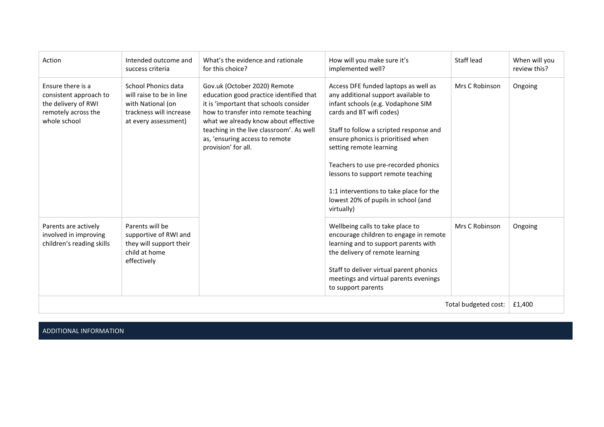| Action                                                                                                    | Intended outcome and<br>success criteria                                                                                | What's the evidence and rationale<br>for this choice?                                                                                                                                                                                                                                                  | How will you make sure it's<br>implemented well?                                                                                                                                                                                                                                                                                                                                                                                        | Staff lead     | When will you<br>review this? |
|-----------------------------------------------------------------------------------------------------------|-------------------------------------------------------------------------------------------------------------------------|--------------------------------------------------------------------------------------------------------------------------------------------------------------------------------------------------------------------------------------------------------------------------------------------------------|-----------------------------------------------------------------------------------------------------------------------------------------------------------------------------------------------------------------------------------------------------------------------------------------------------------------------------------------------------------------------------------------------------------------------------------------|----------------|-------------------------------|
| Ensure there is a<br>consistent approach to<br>the delivery of RWI<br>remotely across the<br>whole school | School Phonics data<br>will raise to be in line<br>with National (on<br>trackness will increase<br>at every assessment) | Gov.uk (October 2020) Remote<br>education good practice identified that<br>it is 'important that schools consider<br>how to transfer into remote teaching<br>what we already know about effective<br>teaching in the live classroom'. As well<br>as, 'ensuring access to remote<br>provision' for all. | Access DFE funded laptops as well as<br>any additional support available to<br>infant schools (e.g. Vodaphone SIM<br>cards and BT wifi codes)<br>Staff to follow a scripted response and<br>ensure phonics is prioritised when<br>setting remote learning<br>Teachers to use pre-recorded phonics<br>lessons to support remote teaching<br>1:1 interventions to take place for the<br>lowest 20% of pupils in school (and<br>virtually) | Mrs C Robinson | Ongoing                       |
| Parents are actively<br>involved in improving<br>children's reading skills                                | Parents will be<br>supportive of RWI and<br>they will support their<br>child at home<br>effectively                     |                                                                                                                                                                                                                                                                                                        | Wellbeing calls to take place to<br>encourage children to engage in remote<br>learning and to support parents with<br>the delivery of remote learning<br>Staff to deliver virtual parent phonics<br>meetings and virtual parents evenings<br>to support parents                                                                                                                                                                         | Mrs C Robinson | Ongoing                       |
| Total budgeted cost:                                                                                      |                                                                                                                         |                                                                                                                                                                                                                                                                                                        |                                                                                                                                                                                                                                                                                                                                                                                                                                         | £1,400         |                               |

ADDITIONAL INFORMATION